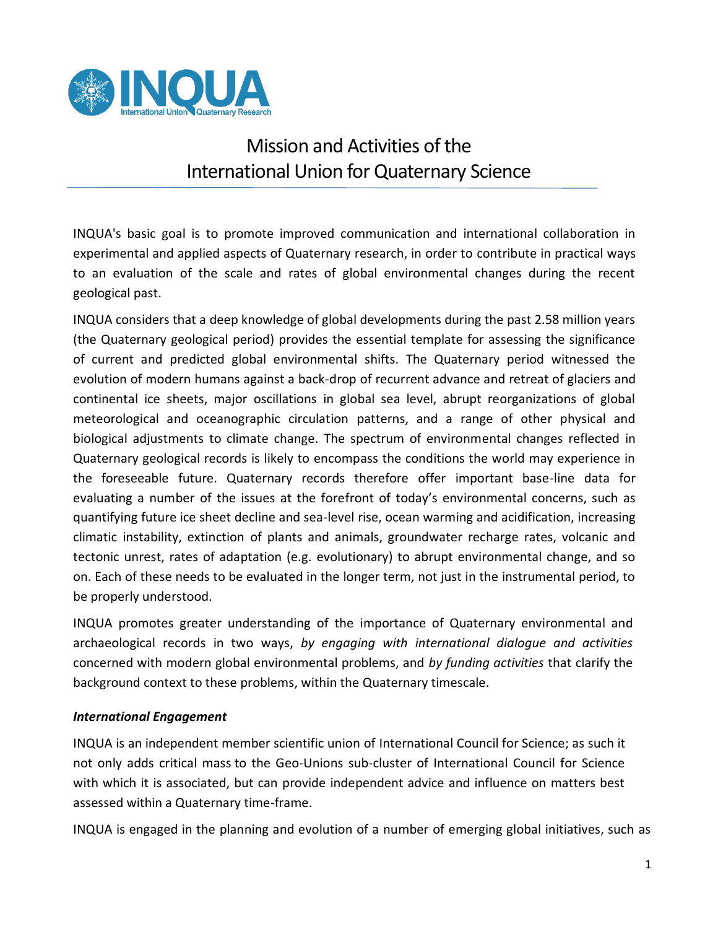

## Mission and Activities of the International Union for Quaternary Science

INQUA's basic goal is to promote improved communication and international collaboration in experimental and applied aspects of Quaternary research, in order to contribute in practical ways to an evaluation of the scale and rates of global environmental changes during the recent geological past.

INQUA considers that a deep knowledge of global developments during the past 2.58 million years (the Quaternary geological period) provides the essential template for assessing the significance of current and predicted global environmental shifts. The Quaternary period witnessed the evolution of modern humans against a back-drop of recurrent advance and retreat of glaciers and continental ice sheets, major oscillations in global sea level, abrupt reorganizations of global meteorological and oceanographic circulation patterns, and a range of other physical and biological adjustments to climate change. The spectrum of environmental changes reflected in Quaternary geological records is likely to encompass the conditions the world may experience in the foreseeable future. Quaternary records therefore offer important base-line data for evaluating a number of the issues at the forefront of today's environmental concerns, such as quantifying future ice sheet decline and sea-level rise, ocean warming and acidification, increasing climatic instability, extinction of plants and animals, groundwater recharge rates, volcanic and tectonic unrest, rates of adaptation (e.g. evolutionary) to abrupt environmental change, and so on. Each of these needs to be evaluated in the longer term, not just in the instrumental period, to be properly understood.

INQUA promotes greater understanding of the importance of Quaternary environmental and archaeological records in two ways, *by engaging with international dialogue and activities*  concerned with modern global environmental problems, and *by funding activities* that clarify the background context to these problems, within the Quaternary timescale.

## *International Engagement*

INQUA is an independent member scientific union of International Council for Science; as such it not only adds critical mass to the Geo-Unions sub-cluster of International Council for Science with which it is associated, but can provide independent advice and influence on matters best assessed within a Quaternary time-frame.

INQUA is engaged in the planning and evolution of a number of emerging global initiatives, such as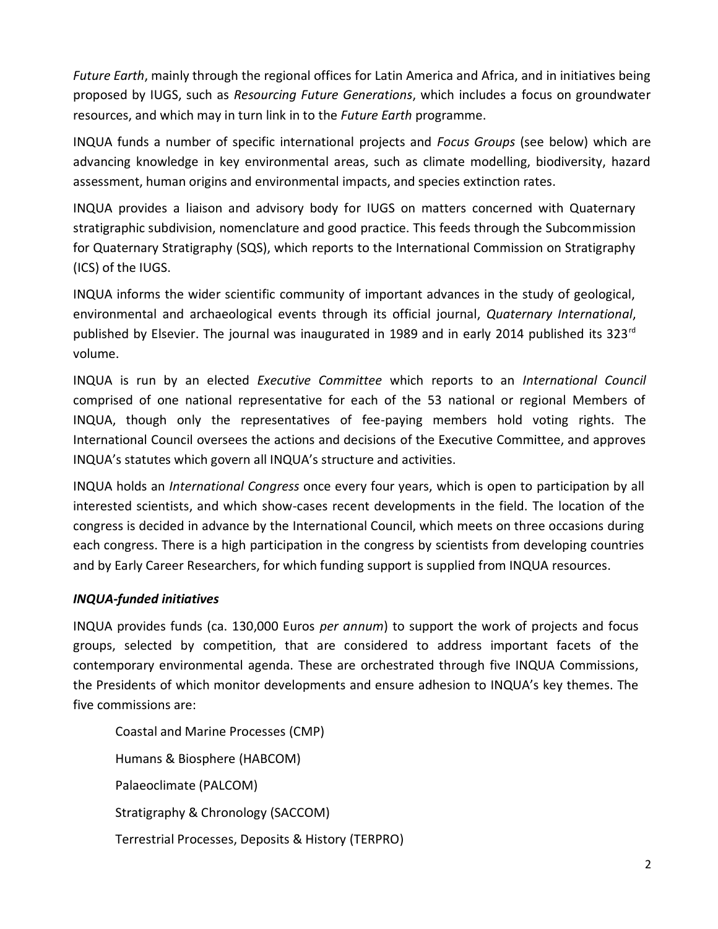*Future Earth*, mainly through the regional offices for Latin America and Africa, and in initiatives being proposed by IUGS, such as *Resourcing Future Generations*, which includes a focus on groundwater resources, and which may in turn link in to the *Future Earth* programme.

INQUA funds a number of specific international projects and *Focus Groups* (see below) which are advancing knowledge in key environmental areas, such as climate modelling, biodiversity, hazard assessment, human origins and environmental impacts, and species extinction rates.

INQUA provides a liaison and advisory body for IUGS on matters concerned with Quaternary stratigraphic subdivision, nomenclature and good practice. This feeds through the Subcommission for Quaternary Stratigraphy (SQS), which reports to the International Commission on Stratigraphy (ICS) of the IUGS.

INQUA informs the wider scientific community of important advances in the study of geological, environmental and archaeological events through its official journal, *Quaternary International*, published by Elsevier. The journal was inaugurated in 1989 and in early 2014 published its 323 $^{\text{rd}}$ volume.

INQUA is run by an elected *Executive Committee* which reports to an *International Council*  comprised of one national representative for each of the 53 national or regional Members of INQUA, though only the representatives of fee-paying members hold voting rights. The International Council oversees the actions and decisions of the Executive Committee, and approves INQUA's statutes which govern all INQUA's structure and activities.

INQUA holds an *International Congress* once every four years, which is open to participation by all interested scientists, and which show-cases recent developments in the field. The location of the congress is decided in advance by the International Council, which meets on three occasions during each congress. There is a high participation in the congress by scientists from developing countries and by Early Career Researchers, for which funding support is supplied from INQUA resources.

## *INQUA-funded initiatives*

INQUA provides funds (ca. 130,000 Euros *per annum*) to support the work of projects and focus groups, selected by competition, that are considered to address important facets of the contemporary environmental agenda. These are orchestrated through five INQUA Commissions, the Presidents of which monitor developments and ensure adhesion to INQUA's key themes. The five commissions are:

Coastal and Marine Processes (CMP) Humans & Biosphere (HABCOM) Palaeoclimate (PALCOM) Stratigraphy & Chronology (SACCOM) Terrestrial Processes, Deposits & History (TERPRO)